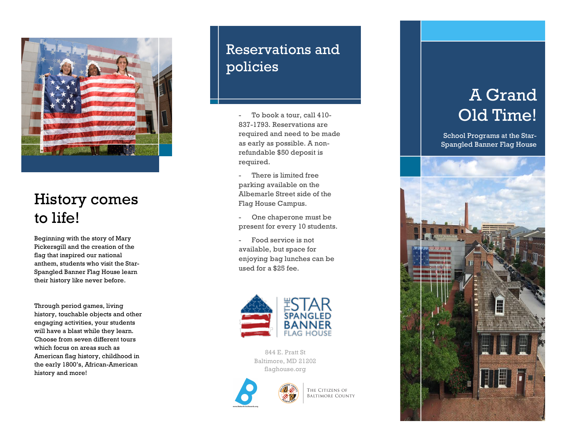

## History comes to life!

Beginning with the story of Mary Pickersgill and the creation of the flag that inspired our national anthem, students who visit the Star - Spangled Banner Flag House learn their history like never before.

Through period games, living history, touchable objects and other engaging activities, your students will have a blast while they learn. Choose from seven different tours which focus on areas such as American flag history, childhood in the early 1800's, African -American history and more!

## Reservations and policies

- To book a tour, call 410 - 837 -1793. Reservations are required and need to be made as early as possible. A non refundable \$50 deposit is required.

There is limited free parking available on the Albemarle Street side of the Flag House Campus.

- One chaperone must be present for every 10 students.

- Food service is not available, but space for enjoying bag lunches can be used for a \$25 fee.



844 E. Pratt St Baltimore, MD 21202 flaghouse.org



THE CITIZENS OF **BALTIMORE COUNTY** 

# A Grand Old Time!

School Programs at the Sta r - Spangled Banner Flag House